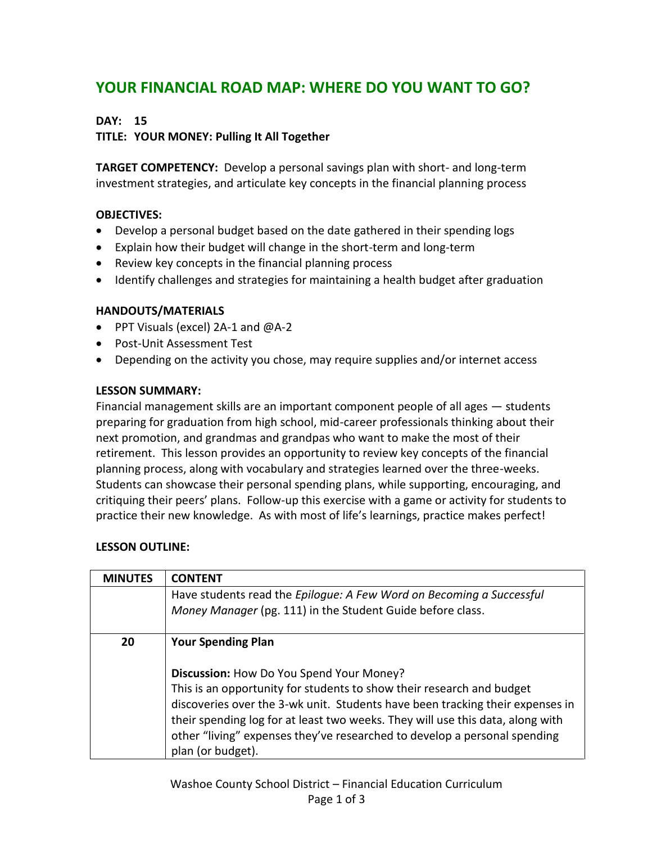# **YOUR FINANCIAL ROAD MAP: WHERE DO YOU WANT TO GO?**

## **DAY: 15**

## **TITLE: YOUR MONEY: Pulling It All Together**

**TARGET COMPETENCY:** Develop a personal savings plan with short- and long-term investment strategies, and articulate key concepts in the financial planning process

### **OBJECTIVES:**

- Develop a personal budget based on the date gathered in their spending logs
- Explain how their budget will change in the short-term and long-term
- Review key concepts in the financial planning process
- Identify challenges and strategies for maintaining a health budget after graduation

### **HANDOUTS/MATERIALS**

- PPT Visuals (excel) 2A-1 and @A-2
- Post-Unit Assessment Test
- Depending on the activity you chose, may require supplies and/or internet access

#### **LESSON SUMMARY:**

Financial management skills are an important component people of all ages — students preparing for graduation from high school, mid-career professionals thinking about their next promotion, and grandmas and grandpas who want to make the most of their retirement. This lesson provides an opportunity to review key concepts of the financial planning process, along with vocabulary and strategies learned over the three-weeks. Students can showcase their personal spending plans, while supporting, encouraging, and critiquing their peers' plans. Follow-up this exercise with a game or activity for students to practice their new knowledge. As with most of life's learnings, practice makes perfect!

### **LESSON OUTLINE:**

| <b>MINUTES</b> | <b>CONTENT</b>                                                                 |
|----------------|--------------------------------------------------------------------------------|
|                | Have students read the Epilogue: A Few Word on Becoming a Successful           |
|                | Money Manager (pg. 111) in the Student Guide before class.                     |
|                |                                                                                |
| 20             | <b>Your Spending Plan</b>                                                      |
|                |                                                                                |
|                | Discussion: How Do You Spend Your Money?                                       |
|                | This is an opportunity for students to show their research and budget          |
|                | discoveries over the 3-wk unit. Students have been tracking their expenses in  |
|                | their spending log for at least two weeks. They will use this data, along with |
|                | other "living" expenses they've researched to develop a personal spending      |
|                | plan (or budget).                                                              |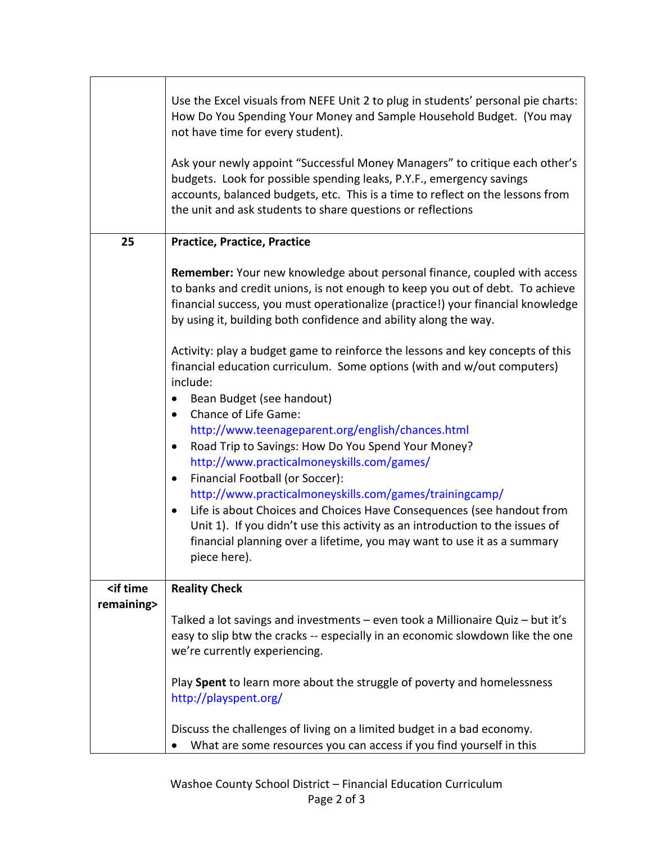|                                                       | Use the Excel visuals from NEFE Unit 2 to plug in students' personal pie charts:<br>How Do You Spending Your Money and Sample Household Budget. (You may<br>not have time for every student).<br>Ask your newly appoint "Successful Money Managers" to critique each other's<br>budgets. Look for possible spending leaks, P.Y.F., emergency savings<br>accounts, balanced budgets, etc. This is a time to reflect on the lessons from<br>the unit and ask students to share questions or reflections                                                                                                                                                                                                                                                                                                                                                                                                                                                                                                                                                                                                         |
|-------------------------------------------------------|---------------------------------------------------------------------------------------------------------------------------------------------------------------------------------------------------------------------------------------------------------------------------------------------------------------------------------------------------------------------------------------------------------------------------------------------------------------------------------------------------------------------------------------------------------------------------------------------------------------------------------------------------------------------------------------------------------------------------------------------------------------------------------------------------------------------------------------------------------------------------------------------------------------------------------------------------------------------------------------------------------------------------------------------------------------------------------------------------------------|
| 25                                                    | <b>Practice, Practice, Practice</b>                                                                                                                                                                                                                                                                                                                                                                                                                                                                                                                                                                                                                                                                                                                                                                                                                                                                                                                                                                                                                                                                           |
|                                                       | Remember: Your new knowledge about personal finance, coupled with access<br>to banks and credit unions, is not enough to keep you out of debt. To achieve<br>financial success, you must operationalize (practice!) your financial knowledge<br>by using it, building both confidence and ability along the way.<br>Activity: play a budget game to reinforce the lessons and key concepts of this<br>financial education curriculum. Some options (with and w/out computers)<br>include:<br>Bean Budget (see handout)<br>Chance of Life Game:<br>$\bullet$<br>http://www.teenageparent.org/english/chances.html<br>Road Trip to Savings: How Do You Spend Your Money?<br>$\bullet$<br>http://www.practicalmoneyskills.com/games/<br>Financial Football (or Soccer):<br>$\bullet$<br>http://www.practicalmoneyskills.com/games/trainingcamp/<br>Life is about Choices and Choices Have Consequences (see handout from<br>$\bullet$<br>Unit 1). If you didn't use this activity as an introduction to the issues of<br>financial planning over a lifetime, you may want to use it as a summary<br>piece here). |
| <if th="" time<=""><th><b>Reality Check</b></th></if> | <b>Reality Check</b>                                                                                                                                                                                                                                                                                                                                                                                                                                                                                                                                                                                                                                                                                                                                                                                                                                                                                                                                                                                                                                                                                          |
| remaining>                                            | Talked a lot savings and investments - even took a Millionaire Quiz - but it's<br>easy to slip btw the cracks -- especially in an economic slowdown like the one<br>we're currently experiencing.<br>Play Spent to learn more about the struggle of poverty and homelessness<br>http://playspent.org/<br>Discuss the challenges of living on a limited budget in a bad economy.<br>What are some resources you can access if you find yourself in this                                                                                                                                                                                                                                                                                                                                                                                                                                                                                                                                                                                                                                                        |